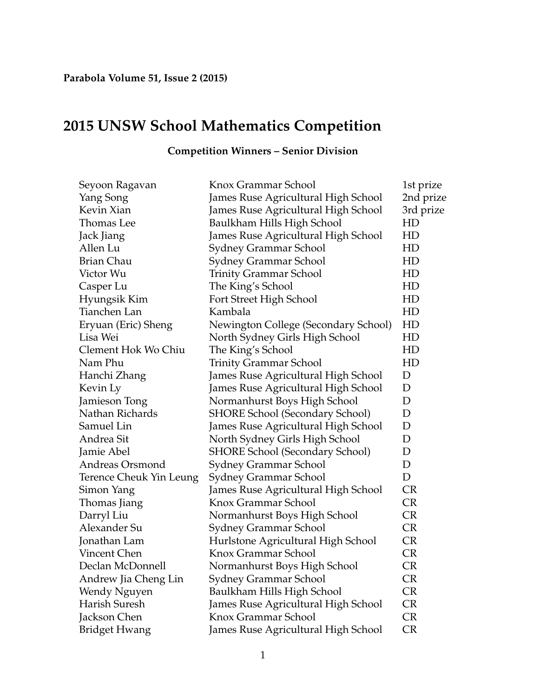## **2015 UNSW School Mathematics Competition**

| Seyoon Ragavan                 | Knox Grammar School                    | 1st prize |
|--------------------------------|----------------------------------------|-----------|
| Yang Song                      | James Ruse Agricultural High School    | 2nd prize |
| Kevin Xian                     | James Ruse Agricultural High School    | 3rd prize |
| Thomas Lee                     | Baulkham Hills High School             | HD        |
| Jack Jiang                     | James Ruse Agricultural High School    | HD        |
| Allen Lu                       | Sydney Grammar School                  | HD        |
| <b>Brian Chau</b>              | Sydney Grammar School                  | HD        |
| Victor Wu                      | <b>Trinity Grammar School</b>          | HD        |
| Casper Lu                      | The King's School                      | HD        |
| Hyungsik Kim                   | Fort Street High School                | HD        |
| Tianchen Lan                   | Kambala                                | HD        |
| Eryuan (Eric) Sheng            | Newington College (Secondary School)   | HD        |
| Lisa Wei                       | North Sydney Girls High School         | HD        |
| Clement Hok Wo Chiu            | The King's School                      | HD        |
| Nam Phu                        | <b>Trinity Grammar School</b>          | HD        |
| Hanchi Zhang                   | James Ruse Agricultural High School    | D         |
| Kevin Ly                       | James Ruse Agricultural High School    | D         |
| Jamieson Tong                  | Normanhurst Boys High School           | D         |
| Nathan Richards                | <b>SHORE School (Secondary School)</b> | D         |
| Samuel Lin                     | James Ruse Agricultural High School    | D         |
| Andrea Sit                     | North Sydney Girls High School         | D         |
| Jamie Abel                     | SHORE School (Secondary School)        | D         |
| Andreas Orsmond                | Sydney Grammar School                  | D         |
| <b>Terence Cheuk Yin Leung</b> | Sydney Grammar School                  | D         |
| Simon Yang                     | James Ruse Agricultural High School    | <b>CR</b> |
| Thomas Jiang                   | Knox Grammar School                    | <b>CR</b> |
| Darryl Liu                     | Normanhurst Boys High School           | <b>CR</b> |
| Alexander Su                   | Sydney Grammar School                  | <b>CR</b> |
| Jonathan Lam                   | Hurlstone Agricultural High School     | <b>CR</b> |
| Vincent Chen                   | Knox Grammar School                    | <b>CR</b> |
| Declan McDonnell               | Normanhurst Boys High School           | <b>CR</b> |
| Andrew Jia Cheng Lin           | Sydney Grammar School                  | <b>CR</b> |
| Wendy Nguyen                   | Baulkham Hills High School             | <b>CR</b> |
| Harish Suresh                  | James Ruse Agricultural High School    | <b>CR</b> |
| Jackson Chen                   | Knox Grammar School                    | <b>CR</b> |
| <b>Bridget Hwang</b>           | James Ruse Agricultural High School    | <b>CR</b> |
|                                |                                        |           |

## **Competition Winners – Senior Division**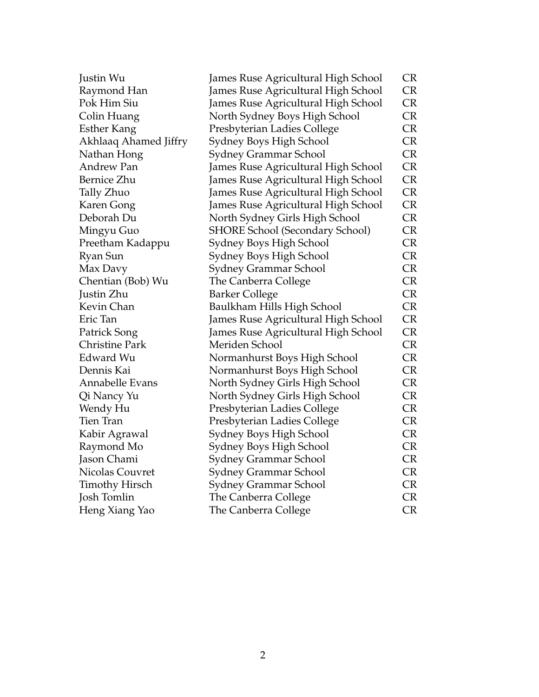| Justin Wu             | James Ruse Agricultural High School    | <b>CR</b> |
|-----------------------|----------------------------------------|-----------|
| Raymond Han           | James Ruse Agricultural High School    | <b>CR</b> |
| Pok Him Siu           | James Ruse Agricultural High School    | <b>CR</b> |
| Colin Huang           | North Sydney Boys High School          | CR        |
| <b>Esther Kang</b>    | Presbyterian Ladies College            | <b>CR</b> |
| Akhlaaq Ahamed Jiffry | Sydney Boys High School                | CR        |
| Nathan Hong           | Sydney Grammar School                  | CR        |
| <b>Andrew Pan</b>     | James Ruse Agricultural High School    | CR        |
| Bernice Zhu           | James Ruse Agricultural High School    | <b>CR</b> |
| Tally Zhuo            | James Ruse Agricultural High School    | <b>CR</b> |
| Karen Gong            | James Ruse Agricultural High School    | <b>CR</b> |
| Deborah Du            | North Sydney Girls High School         | <b>CR</b> |
| Mingyu Guo            | <b>SHORE School (Secondary School)</b> | <b>CR</b> |
| Preetham Kadappu      | Sydney Boys High School                | CR        |
| Ryan Sun              | Sydney Boys High School                | <b>CR</b> |
| Max Davy              | Sydney Grammar School                  | <b>CR</b> |
| Chentian (Bob) Wu     | The Canberra College                   | <b>CR</b> |
| Justin Zhu            | <b>Barker College</b>                  | <b>CR</b> |
| Kevin Chan            | Baulkham Hills High School             | CR        |
| Eric Tan              | James Ruse Agricultural High School    | <b>CR</b> |
| Patrick Song          | James Ruse Agricultural High School    | CR        |
| <b>Christine Park</b> | Meriden School                         | CR        |
| Edward Wu             | Normanhurst Boys High School           | CR        |
| Dennis Kai            | Normanhurst Boys High School           | <b>CR</b> |
| Annabelle Evans       | North Sydney Girls High School         | <b>CR</b> |
| Qi Nancy Yu           | North Sydney Girls High School         | CR        |
| Wendy Hu              | Presbyterian Ladies College            | <b>CR</b> |
| Tien Tran             | Presbyterian Ladies College            | <b>CR</b> |
| Kabir Agrawal         | Sydney Boys High School                | <b>CR</b> |
| Raymond Mo            | Sydney Boys High School                | <b>CR</b> |
| Jason Chami           | Sydney Grammar School                  | <b>CR</b> |
| Nicolas Couvret       | Sydney Grammar School                  | <b>CR</b> |
| <b>Timothy Hirsch</b> | Sydney Grammar School                  | <b>CR</b> |
| Josh Tomlin           | The Canberra College                   | <b>CR</b> |
| Heng Xiang Yao        | The Canberra College                   | <b>CR</b> |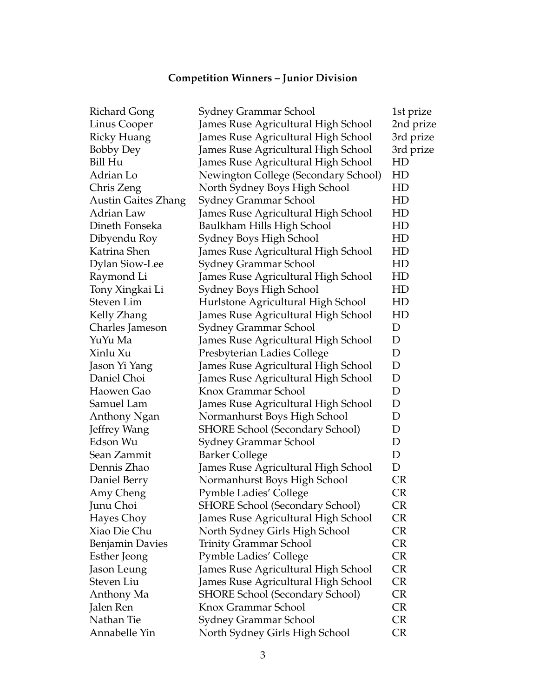## **Competition Winners – Junior Division**

| <b>Richard Gong</b>        | Sydney Grammar School                  | 1st prize |
|----------------------------|----------------------------------------|-----------|
| Linus Cooper               | James Ruse Agricultural High School    | 2nd prize |
| <b>Ricky Huang</b>         | James Ruse Agricultural High School    | 3rd prize |
| <b>Bobby Dey</b>           | James Ruse Agricultural High School    | 3rd prize |
| Bill Hu                    | James Ruse Agricultural High School    | HD        |
| Adrian Lo                  | Newington College (Secondary School)   | HD        |
| Chris Zeng                 | North Sydney Boys High School          | HD        |
| <b>Austin Gaites Zhang</b> | Sydney Grammar School                  | HD        |
| Adrian Law                 | James Ruse Agricultural High School    | HD        |
| Dineth Fonseka             | Baulkham Hills High School             | HD        |
| Dibyendu Roy               | Sydney Boys High School                | HD        |
| Katrina Shen               | James Ruse Agricultural High School    | HD        |
| <b>Dylan Siow-Lee</b>      | Sydney Grammar School                  | HD        |
| Raymond Li                 | James Ruse Agricultural High School    | HD        |
| Tony Xingkai Li            | Sydney Boys High School                | HD        |
| Steven Lim                 | Hurlstone Agricultural High School     | HD        |
| Kelly Zhang                | James Ruse Agricultural High School    | HD        |
| Charles Jameson            | Sydney Grammar School                  | D         |
| YuYu Ma                    | James Ruse Agricultural High School    | D         |
| Xinlu Xu                   | Presbyterian Ladies College            | D         |
| Jason Yi Yang              | James Ruse Agricultural High School    | D         |
| Daniel Choi                | James Ruse Agricultural High School    | D         |
| Haowen Gao                 | Knox Grammar School                    | D         |
| Samuel Lam                 | James Ruse Agricultural High School    | D         |
| Anthony Ngan               | Normanhurst Boys High School           | D         |
| Jeffrey Wang               | <b>SHORE School (Secondary School)</b> | D         |
| Edson Wu                   | Sydney Grammar School                  | D         |
| Sean Zammit                | <b>Barker College</b>                  | D         |
| Dennis Zhao                | James Ruse Agricultural High School    | D         |
| Daniel Berry               | Normanhurst Boys High School           | <b>CR</b> |
| Amy Cheng                  | <b>Pymble Ladies' College</b>          | <b>CR</b> |
| Junu Choi                  | <b>SHORE School (Secondary School)</b> | <b>CR</b> |
| Hayes Choy                 | James Ruse Agricultural High School    | <b>CR</b> |
| Xiao Die Chu               | North Sydney Girls High School         | <b>CR</b> |
| <b>Benjamin Davies</b>     | Trinity Grammar School                 | <b>CR</b> |
| Esther Jeong               | Pymble Ladies' College                 | CR        |
| Jason Leung                | James Ruse Agricultural High School    | <b>CR</b> |
| Steven Liu                 | James Ruse Agricultural High School    | <b>CR</b> |
| Anthony Ma                 | <b>SHORE School (Secondary School)</b> | <b>CR</b> |
| Jalen Ren                  | Knox Grammar School                    | <b>CR</b> |
| Nathan Tie                 | Sydney Grammar School                  | CR        |
| Annabelle Yin              | North Sydney Girls High School         | <b>CR</b> |
|                            |                                        |           |